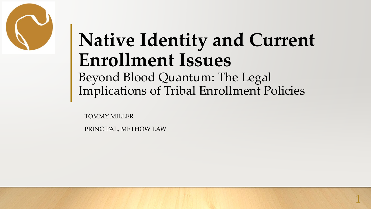

## **Native Identity and Current Enrollment Issues** Beyond Blood Quantum: The Legal Implications of Tribal Enrollment Policies

TOMMY MILLER

PRINCIPAL, METHOW LAW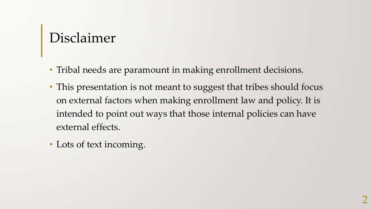#### Disclaimer

- Tribal needs are paramount in making enrollment decisions.
- This presentation is not meant to suggest that tribes should focus on external factors when making enrollment law and policy. It is intended to point out ways that those internal policies can have external effects.
- Lots of text incoming.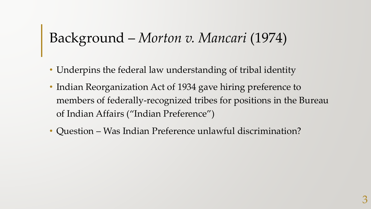#### Background – *Morton v. Mancari* (1974)

- Underpins the federal law understanding of tribal identity
- Indian Reorganization Act of 1934 gave hiring preference to members of federally-recognized tribes for positions in the Bureau of Indian Affairs ("Indian Preference")
- Question Was Indian Preference unlawful discrimination?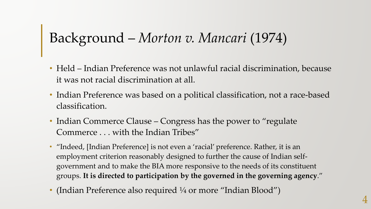### Background – *Morton v. Mancari* (1974)

- Held Indian Preference was not unlawful racial discrimination, because it was not racial discrimination at all.
- Indian Preference was based on a political classification, not a race-based classification.
- Indian Commerce Clause Congress has the power to "regulate" Commerce . . . with the Indian Tribes"
- "Indeed, [Indian Preference] is not even a 'racial' preference. Rather, it is an employment criterion reasonably designed to further the cause of Indian selfgovernment and to make the BIA more responsive to the needs of its constituent groups. **It is directed to participation by the governed in the governing agency**."
- (Indian Preference also required  $\frac{1}{4}$  or more "Indian Blood")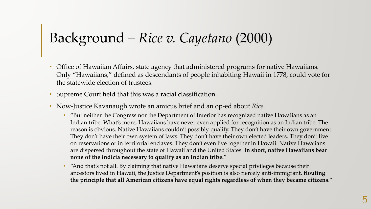## Background – *Rice v. Cayetano* (2000)

- Office of Hawaiian Affairs, state agency that administered programs for native Hawaiians. Only "Hawaiians," defined as descendants of people inhabiting Hawaii in 1778, could vote for the statewide election of trustees.
- Supreme Court held that this was a racial classification.
- Now-Justice Kavanaugh wrote an amicus brief and an op-ed about *Rice*.
	- "But neither the Congress nor the Department of Interior has recognized native Hawaiians as an Indian tribe. What's more, Hawaiians have never even applied for recognition as an Indian tribe. The reason is obvious. Native Hawaiians couldn't possibly qualify. They don't have their own government. They don't have their own system of laws. They don't have their own elected leaders. They don't live on reservations or in territorial enclaves. They don't even live together in Hawaii. Native Hawaiians are dispersed throughout the state of Hawaii and the United States. **In short, native Hawaiians bear none of the indicia necessary to qualify as an Indian tribe.**"
	- "And that's not all. By claiming that native Hawaiians deserve special privileges because their ancestors lived in Hawaii, the Justice Department's position is also fiercely anti-immigrant, **flouting the principle that all American citizens have equal rights regardless of when they became citizens**."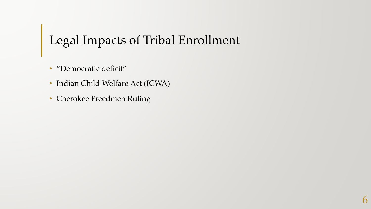## Legal Impacts of Tribal Enrollment

- "Democratic deficit"
- Indian Child Welfare Act (ICWA)
- Cherokee Freedmen Ruling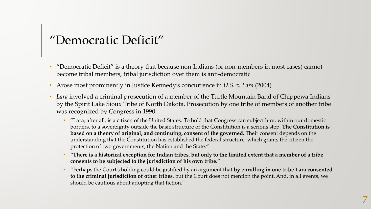# "Democratic Deficit"

- "Democratic Deficit" is a theory that because non-Indians (or non-members in most cases) cannot become tribal members, tribal jurisdiction over them is anti-democratic
- Arose most prominently in Justice Kennedy's concurrence in *U.S. v. Lara* (2004)
- *Lara* involved a criminal prosecution of a member of the Turtle Mountain Band of Chippewa Indians by the Spirit Lake Sioux Tribe of North Dakota. Prosecution by one tribe of members of another tribe was recognized by Congress in 1990.
	- "Lara, after all, is a citizen of the United States. To hold that Congress can subject him, within our domestic borders, to a sovereignty outside the basic structure of the Constitution is a serious step. **The Constitution is based on a theory of original, and continuing, consent of the governed.** Their consent depends on the understanding that the Constitution has established the federal structure, which grants the citizen the protection of two governments, the Nation and the State."
	- **"There is a historical exception for Indian tribes, but only to the limited extent that a member of a tribe consents to be subjected to the jurisdiction of his own tribe.**"
	- "Perhaps the Court's holding could be justified by an argument that **by enrolling in one tribe Lara consented to the criminal jurisdiction of other tribes**, but the Court does not mention the point. And, in all events, we should be cautious about adopting that fiction."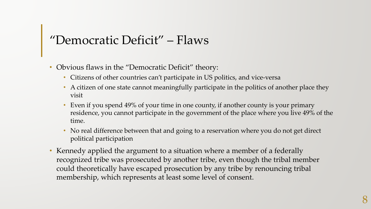# "Democratic Deficit" – Flaws

- Obvious flaws in the "Democratic Deficit" theory:
	- Citizens of other countries can't participate in US politics, and vice-versa
	- A citizen of one state cannot meaningfully participate in the politics of another place they visit
	- Even if you spend 49% of your time in one county, if another county is your primary residence, you cannot participate in the government of the place where you live 49% of the time.
	- No real difference between that and going to a reservation where you do not get direct political participation
- Kennedy applied the argument to a situation where a member of a federally recognized tribe was prosecuted by another tribe, even though the tribal member could theoretically have escaped prosecution by any tribe by renouncing tribal membership, which represents at least some level of consent.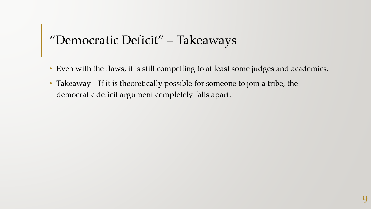# "Democratic Deficit" – Takeaways

- Even with the flaws, it is still compelling to at least some judges and academics.
- Takeaway If it is theoretically possible for someone to join a tribe, the democratic deficit argument completely falls apart.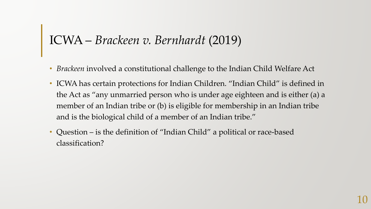### ICWA – *Brackeen v. Bernhardt* (2019)

- *Brackeen* involved a constitutional challenge to the Indian Child Welfare Act
- ICWA has certain protections for Indian Children. "Indian Child" is defined in the Act as "any unmarried person who is under age eighteen and is either (a) a member of an Indian tribe or (b) is eligible for membership in an Indian tribe and is the biological child of a member of an Indian tribe."
- Question is the definition of "Indian Child" a political or race-based classification?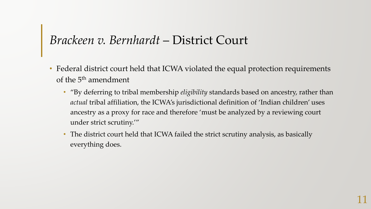#### *Brackeen v. Bernhardt* – District Court

- Federal district court held that ICWA violated the equal protection requirements of the 5<sup>th</sup> amendment
	- "By deferring to tribal membership *eligibility* standards based on ancestry, rather than *actual* tribal affiliation, the ICWA's jurisdictional definition of 'Indian children' uses ancestry as a proxy for race and therefore 'must be analyzed by a reviewing court under strict scrutiny.'"
	- The district court held that ICWA failed the strict scrutiny analysis, as basically everything does.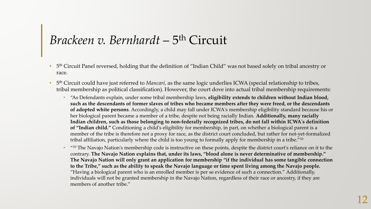#### *Brackeen v. Bernhardt* – 5th Circuit

- 5th Circuit Panel reversed, holding that the definition of "Indian Child" was not based solely on tribal ancestry or race.
- 5th Circuit could have just referred to *Mancari*, as the same logic underlies ICWA (special relationship to tribes, tribal membership as political classification). However, the court dove into actual tribal membership requirements:
	- "As Defendants explain, under some tribal membership laws, **eligibility extends to children without Indian blood, such as the descendants of former slaves of tribes who became members after they were freed, or the descendants of adopted white persons**. Accordingly, a child may fall under ICWA's membership eligibility standard because his or her biological parent became a member of a tribe, despite not being racially Indian. **Additionally, many racially Indian children, such as those belonging to non-federally recognized tribes, do not fall within ICWA's definition of "Indian child."** Conditioning a child's eligibility for membership, in part, on whether a biological parent is a member of the tribe is therefore not a proxy for race, as the district court concluded, but rather for not-yet-formalized tribal affiliation, particularly where the child is too young to formally apply for membership in a tribe."10
	- "10 The Navajo Nation's membership code is instructive on these points, despite the district court's reliance on it to the contrary. **The Navajo Nation explains that, under its laws, "blood alone is never determinative of membership." The Navajo Nation will only grant an application for membership "if the individual has some tangible connection to the Tribe," such as the ability to speak the Navajo language or time spent living among the Navajo people.**  "Having a biological parent who is an enrolled member is per se evidence of such a connection." Additionally, individuals will not be granted membership in the Navajo Nation, regardless of their race or ancestry, if they are members of another tribe."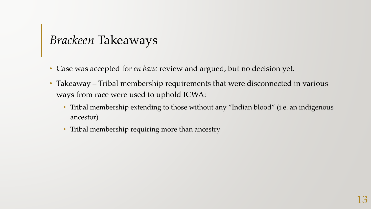## *Brackeen* Takeaways

- Case was accepted for *en banc* review and argued, but no decision yet.
- Takeaway Tribal membership requirements that were disconnected in various ways from race were used to uphold ICWA:
	- Tribal membership extending to those without any "Indian blood" (i.e. an indigenous ancestor)
	- Tribal membership requiring more than ancestry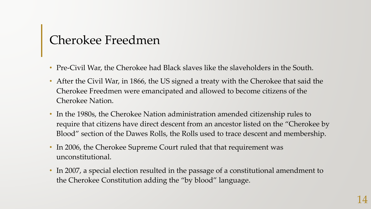## Cherokee Freedmen

- Pre-Civil War, the Cherokee had Black slaves like the slaveholders in the South.
- After the Civil War, in 1866, the US signed a treaty with the Cherokee that said the Cherokee Freedmen were emancipated and allowed to become citizens of the Cherokee Nation.
- In the 1980s, the Cherokee Nation administration amended citizenship rules to require that citizens have direct descent from an ancestor listed on the "Cherokee by Blood" section of the Dawes Rolls, the Rolls used to trace descent and membership.
- In 2006, the Cherokee Supreme Court ruled that that requirement was unconstitutional.
- In 2007, a special election resulted in the passage of a constitutional amendment to the Cherokee Constitution adding the "by blood" language.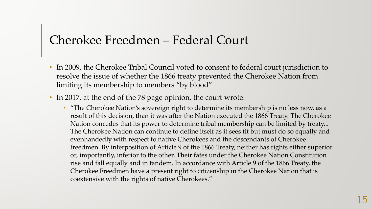#### Cherokee Freedmen – Federal Court

- In 2009, the Cherokee Tribal Council voted to consent to federal court jurisdiction to resolve the issue of whether the 1866 treaty prevented the Cherokee Nation from limiting its membership to members "by blood"
- In 2017, at the end of the 78 page opinion, the court wrote:
	- "The Cherokee Nation's sovereign right to determine its membership is no less now, as a result of this decision, than it was after the Nation executed the 1866 Treaty. The Cherokee Nation concedes that its power to determine tribal membership can be limited by treaty... The Cherokee Nation can continue to define itself as it sees fit but must do so equally and evenhandedly with respect to native Cherokees and the descendants of Cherokee freedmen. By interposition of Article 9 of the 1866 Treaty, neither has rights either superior or, importantly, inferior to the other. Their fates under the Cherokee Nation Constitution rise and fall equally and in tandem. In accordance with Article 9 of the 1866 Treaty, the Cherokee Freedmen have a present right to citizenship in the Cherokee Nation that is coextensive with the rights of native Cherokees."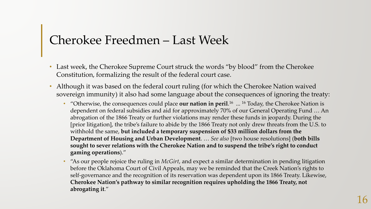#### Cherokee Freedmen – Last Week

- Last week, the Cherokee Supreme Court struck the words "by blood" from the Cherokee Constitution, formalizing the result of the federal court case.
- Although it was based on the federal court ruling (for which the Cherokee Nation waived sovereign immunity) it also had some language about the consequences of ignoring the treaty:
	- "Otherwise, the consequences could place **our nation in peril**.<sup>16</sup> ... <sup>16</sup> Today, the Cherokee Nation is dependent on federal subsidies and aid for approximately 70% of our General Operating Fund … An abrogation of the 1866 Treaty or further violations may render these funds in jeopardy. During the [prior litigation], the tribe's failure to abide by the 1866 Treaty not only drew threats from the U.S. to withhold the same, **but included a temporary suspension of \$33 million dollars from the Department of Housing and Urban Development**. … *See also* [two house resolutions] (**both bills sought to sever relations with the Cherokee Nation and to suspend the tribe's right to conduct gaming operations**)."
	- "As our people rejoice the ruling in *McGirt*, and expect a similar determination in pending litigation before the Oklahoma Court of Civil Appeals, may we be reminded that the Creek Nation's rights to self-governance and the recognition of its reservation was dependent upon its 1866 Treaty. Likewise, **Cherokee Nation's pathway to similar recognition requires upholding the 1866 Treaty, not abrogating it**."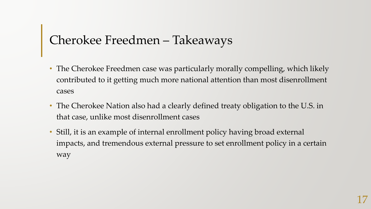# Cherokee Freedmen – Takeaways

- The Cherokee Freedmen case was particularly morally compelling, which likely contributed to it getting much more national attention than most disenrollment cases
- The Cherokee Nation also had a clearly defined treaty obligation to the U.S. in that case, unlike most disenrollment cases
- Still, it is an example of internal enrollment policy having broad external impacts, and tremendous external pressure to set enrollment policy in a certain way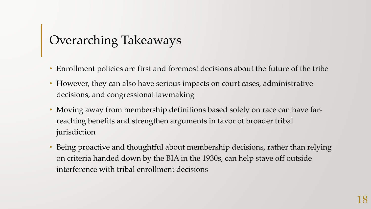## Overarching Takeaways

- Enrollment policies are first and foremost decisions about the future of the tribe
- However, they can also have serious impacts on court cases, administrative decisions, and congressional lawmaking
- Moving away from membership definitions based solely on race can have farreaching benefits and strengthen arguments in favor of broader tribal jurisdiction
- Being proactive and thoughtful about membership decisions, rather than relying on criteria handed down by the BIA in the 1930s, can help stave off outside interference with tribal enrollment decisions